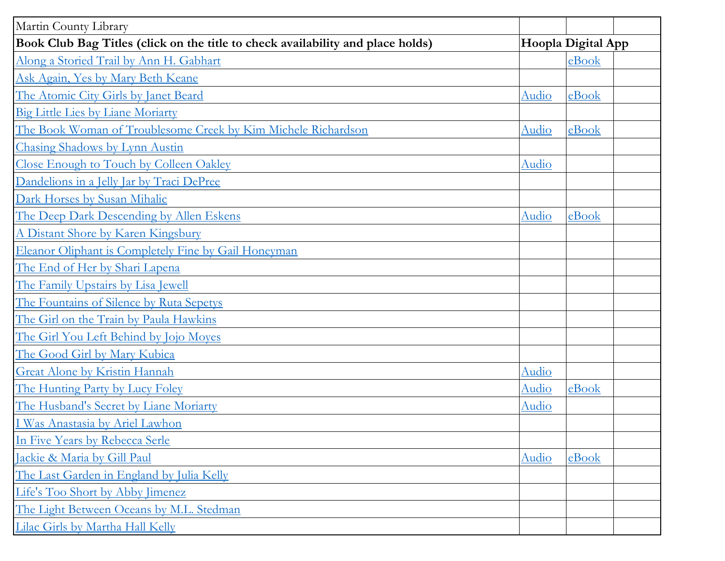| Martin County Library                                                           |                    |       |  |
|---------------------------------------------------------------------------------|--------------------|-------|--|
| Book Club Bag Titles (click on the title to check availability and place holds) | Hoopla Digital App |       |  |
| Along a Storied Trail by Ann H. Gabhart                                         |                    | eBook |  |
| Ask Again, Yes by Mary Beth Keane                                               |                    |       |  |
| The Atomic City Girls by Janet Beard                                            | Audio              | eBook |  |
| <b>Big Little Lies by Liane Moriarty</b>                                        |                    |       |  |
| The Book Woman of Troublesome Creek by Kim Michele Richardson                   | Audio              | eBook |  |
| Chasing Shadows by Lynn Austin                                                  |                    |       |  |
| Close Enough to Touch by Colleen Oakley                                         | Audio              |       |  |
| Dandelions in a Jelly Jar by Traci DePree                                       |                    |       |  |
| Dark Horses by Susan Mihalic                                                    |                    |       |  |
| The Deep Dark Descending by Allen Eskens                                        | Audio              | eBook |  |
| A Distant Shore by Karen Kingsbury                                              |                    |       |  |
| Eleanor Oliphant is Completely Fine by Gail Honeyman                            |                    |       |  |
| The End of Her by Shari Lapena                                                  |                    |       |  |
| The Family Upstairs by Lisa Jewell                                              |                    |       |  |
| The Fountains of Silence by Ruta Sepetys                                        |                    |       |  |
| The Girl on the Train by Paula Hawkins                                          |                    |       |  |
| The Girl You Left Behind by Jojo Moyes                                          |                    |       |  |
| The Good Girl by Mary Kubica                                                    |                    |       |  |
| <b>Great Alone by Kristin Hannah</b>                                            | Audio              |       |  |
| The Hunting Party by Lucy Foley                                                 | Audio              | eBook |  |
| The Husband's Secret by Liane Moriarty                                          | Audio              |       |  |
| I Was Anastasia by Ariel Lawhon                                                 |                    |       |  |
| In Five Years by Rebecca Serle                                                  |                    |       |  |
| Jackie & Maria by Gill Paul                                                     | Audio              | eBook |  |
| The Last Garden in England by Julia Kelly                                       |                    |       |  |
| Life's Too Short by Abby Jimenez                                                |                    |       |  |
| The Light Between Oceans by M.L. Stedman                                        |                    |       |  |
| Lilac Girls by Martha Hall Kelly                                                |                    |       |  |